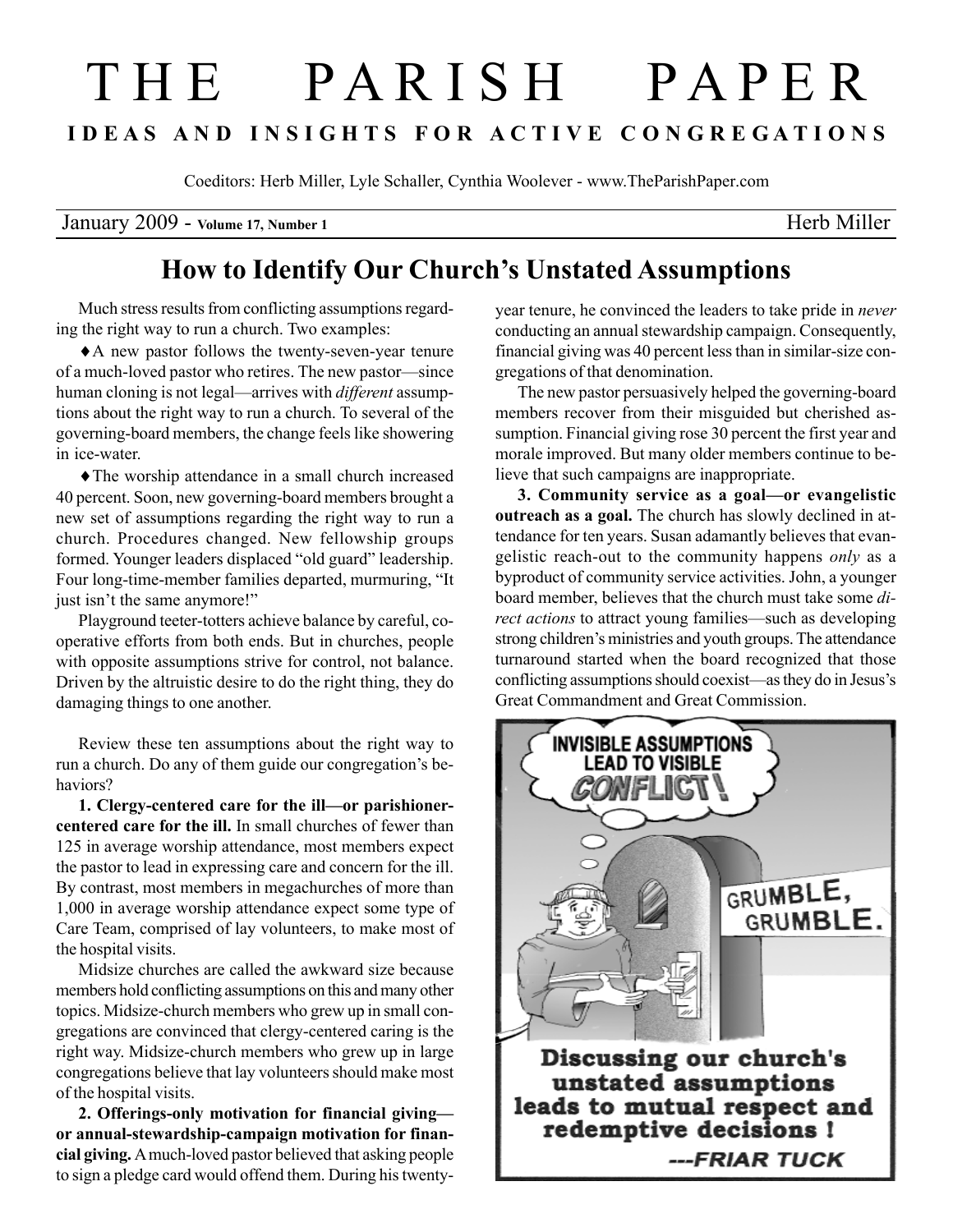## T H E P A R I S H P A P E R I D E A S A N D I N S I G H T S F O R A C T I V E C O N G R E G A T I O N S

Coeditors: Herb Miller, Lyle Schaller, Cynthia Woolever - www.TheParishPaper.com

January 2009 - Volume 17, Number 1 Herb Miller

## How to Identify Our Church's Unstated Assumptions

Much stress results from conflicting assumptions regarding the right way to run a church. Two examples:

♦A new pastor follows the twenty-seven-year tenure of a much-loved pastor who retires. The new pastor—since human cloning is not legal—arrives with *different* assumptions about the right way to run a church. To several of the governing-board members, the change feels like showering in ice-water.

♦The worship attendance in a small church increased 40 percent. Soon, new governing-board members brought a new set of assumptions regarding the right way to run a church. Procedures changed. New fellowship groups formed. Younger leaders displaced "old guard" leadership. Four long-time-member families departed, murmuring, "It just isn't the same anymore!"

Playground teeter-totters achieve balance by careful, cooperative efforts from both ends. But in churches, people with opposite assumptions strive for control, not balance. Driven by the altruistic desire to do the right thing, they do damaging things to one another.

Review these ten assumptions about the right way to run a church. Do any of them guide our congregation's behaviors?

1. Clergy-centered care for the ill—or parishionercentered care for the ill. In small churches of fewer than 125 in average worship attendance, most members expect the pastor to lead in expressing care and concern for the ill. By contrast, most members in megachurches of more than 1,000 in average worship attendance expect some type of Care Team, comprised of lay volunteers, to make most of the hospital visits.

Midsize churches are called the awkward size because members hold conflicting assumptions on this and many other topics. Midsize-church members who grew up in small congregations are convinced that clergy-centered caring is the right way. Midsize-church members who grew up in large congregations believe that lay volunteers should make most of the hospital visits.

2. Offerings-only motivation for financial giving or annual-stewardship-campaign motivation for financial giving. A much-loved pastor believed that asking people to sign a pledge card would offend them. During his twentyyear tenure, he convinced the leaders to take pride in never conducting an annual stewardship campaign. Consequently, financial giving was 40 percent less than in similar-size congregations of that denomination.

The new pastor persuasively helped the governing-board members recover from their misguided but cherished assumption. Financial giving rose 30 percent the first year and morale improved. But many older members continue to believe that such campaigns are inappropriate.

3. Community service as a goal—or evangelistic outreach as a goal. The church has slowly declined in attendance for ten years. Susan adamantly believes that evangelistic reach-out to the community happens only as a byproduct of community service activities. John, a younger board member, believes that the church must take some direct actions to attract young families—such as developing strong children's ministries and youth groups. The attendance turnaround started when the board recognized that those conflicting assumptions should coexist—as they do in Jesus's Great Commandment and Great Commission.